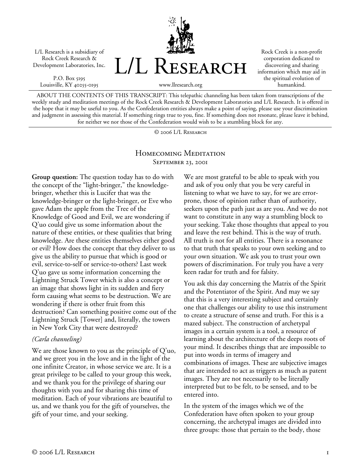L/L Research is a subsidiary of Rock Creek Research & Development Laboratories, Inc.

P.O. Box 5195 Louisville, KY 40255-0195



Rock Creek is a non-profit corporation dedicated to discovering and sharing information which may aid in the spiritual evolution of humankind.

ABOUT THE CONTENTS OF THIS TRANSCRIPT: This telepathic channeling has been taken from transcriptions of the weekly study and meditation meetings of the Rock Creek Research & Development Laboratories and L/L Research. It is offered in the hope that it may be useful to you. As the Confederation entities always make a point of saying, please use your discrimination and judgment in assessing this material. If something rings true to you, fine. If something does not resonate, please leave it behind, for neither we nor those of the Confederation would wish to be a stumbling block for any.

© 2006 L/L Research

## Homecoming Meditation SEPTEMBER 23, 2001

**Group question:** The question today has to do with the concept of the "light-bringer," the knowledgebringer, whether this is Lucifer that was the knowledge-bringer or the light-bringer, or Eve who gave Adam the apple from the Tree of the Knowledge of Good and Evil, we are wondering if Q'uo could give us some information about the nature of these entities, or these qualities that bring knowledge. Are these entities themselves either good or evil? How does the concept that they deliver to us give us the ability to pursue that which is good or evil, service-to-self or service-to-others? Last week Q'uo gave us some information concerning the Lightning Struck Tower which is also a concept or an image that shows light in its sudden and fiery form causing what seems to be destruction. We are wondering if there is other fruit from this destruction? Can something positive come out of the Lightning Struck [Tower] and, literally, the towers in New York City that were destroyed?

## *(Carla channeling)*

We are those known to you as the principle of  $Q'$ uo, and we greet you in the love and in the light of the one infinite Creator, in whose service we are. It is a great privilege to be called to your group this week, and we thank you for the privilege of sharing our thoughts with you and for sharing this time of meditation. Each of your vibrations are beautiful to us, and we thank you for the gift of yourselves, the gift of your time, and your seeking.

We are most grateful to be able to speak with you and ask of you only that you be very careful in listening to what we have to say, for we are errorprone, those of opinion rather than of authority, seekers upon the path just as are you. And we do not want to constitute in any way a stumbling block to your seeking. Take those thoughts that appeal to you and leave the rest behind. This is the way of truth. All truth is not for all entities. There is a resonance to that truth that speaks to your own seeking and to your own situation. We ask you to trust your own powers of discrimination. For truly you have a very keen radar for truth and for falsity.

You ask this day concerning the Matrix of the Spirit and the Potentiator of the Spirit. And may we say that this is a very interesting subject and certainly one that challenges our ability to use this instrument to create a structure of sense and truth. For this is a mazed subject. The construction of archetypal images in a certain system is a tool, a resource of learning about the architecture of the deeps roots of your mind. It describes things that are impossible to put into words in terms of imagery and combinations of images. These are subjective images that are intended to act as triggers as much as patent images. They are not necessarily to be literally interpreted but to be felt, to be sensed, and to be entered into.

In the system of the images which we of the Confederation have often spoken to your group concerning, the archetypal images are divided into three groups: those that pertain to the body, those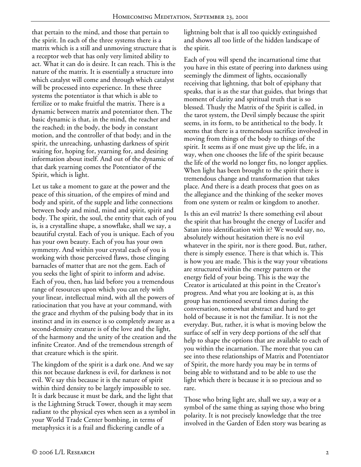that pertain to the mind, and those that pertain to the spirit. In each of the three systems there is a matrix which is a still and unmoving structure that is a receptor web that has only very limited ability to act. What it can do is desire. It can reach. This is the nature of the matrix. It is essentially a structure into which catalyst will come and through which catalyst will be processed into experience. In these three systems the potentiator is that which is able to fertilize or to make fruitful the matrix. There is a dynamic between matrix and potentiator then. The basic dynamic is that, in the mind, the reacher and the reached; in the body, the body in constant motion, and the controller of that body; and in the spirit, the unreaching, unhasting darkness of spirit waiting for, hoping for, yearning for, and desiring information about itself. And out of the dynamic of that dark yearning comes the Potentiator of the Spirit, which is light.

Let us take a moment to gaze at the power and the peace of this situation, of the empires of mind and body and spirit, of the supple and lithe connections between body and mind, mind and spirit, spirit and body. The spirit, the soul, the entity that each of you is, is a crystalline shape, a snowflake, shall we say, a beautiful crystal. Each of you is unique. Each of you has your own beauty. Each of you has your own symmetry. And within your crystal each of you is working with those perceived flaws, those clinging barnacles of matter that are not the gem. Each of you seeks the light of spirit to inform and advise. Each of you, then, has laid before you a tremendous range of resources upon which you can rely with your linear, intellectual mind, with all the powers of ratiocination that you have at your command, with the grace and rhythm of the pulsing body that in its instinct and in its essence is so completely aware as a second-density creature is of the love and the light, of the harmony and the unity of the creation and the infinite Creator. And of the tremendous strength of that creature which is the spirit.

The kingdom of the spirit is a dark one. And we say this not because darkness is evil, for darkness is not evil. We say this because it is the nature of spirit within third density to be largely impossible to see. It is dark because it must be dark, and the light that is the Lightning Struck Tower, though it may seem radiant to the physical eyes when seen as a symbol in your World Trade Center bombing, in terms of metaphysics it is a frail and flickering candle of a

lightning bolt that is all too quickly extinguished and shows all too little of the hidden landscape of the spirit.

Each of you will spend the incarnational time that you have in this estate of peering into darkness using seemingly the dimmest of lights, occasionally receiving that lightning, that bolt of epiphany that speaks, that is as the star that guides, that brings that moment of clarity and spiritual truth that is so blessed. Thusly the Matrix of the Spirit is called, in the tarot system, the Devil simply because the spirit seems, in its form, to be antithetical to the body. It seems that there is a tremendous sacrifice involved in moving from things of the body to things of the spirit. It seems as if one must give up the life, in a way, when one chooses the life of the spirit because the life of the world no longer fits, no longer applies. When light has been brought to the spirit there is tremendous change and transformation that takes place. And there is a death process that goes on as the allegiance and the thinking of the seeker moves from one system or realm or kingdom to another.

Is this an evil matrix? Is there something evil about the spirit that has brought the energy of Lucifer and Satan into identification with it? We would say, no, absolutely without hesitation there is no evil whatever in the spirit, nor is there good. But, rather, there is simply essence. There is that which is. This is how you are made. This is the way your vibrations are structured within the energy pattern or the energy field of your being. This is the way the Creator is articulated at this point in the Creator's progress. And what you are looking at is, as this group has mentioned several times during the conversation, somewhat abstract and hard to get hold of because it is not the familiar. It is not the everyday. But, rather, it is what is moving below the surface of self in very deep portions of the self that help to shape the options that are available to each of you within the incarnation. The more that you can see into these relationships of Matrix and Potentiator of Spirit, the more hardy you may be in terms of being able to withstand and to be able to use the light which there is because it is so precious and so rare.

Those who bring light are, shall we say, a way or a symbol of the same thing as saying those who bring polarity. It is not precisely knowledge that the tree involved in the Garden of Eden story was bearing as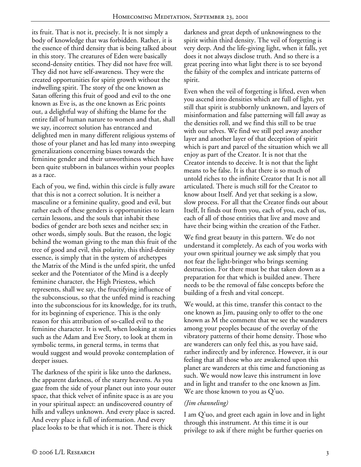its fruit. That is not it, precisely. It is not simply a body of knowledge that was forbidden. Rather, it is the essence of third density that is being talked about in this story. The creatures of Eden were basically second-density entities. They did not have free will. They did not have self-awareness. They were the created opportunities for spirit growth without the indwelling spirit. The story of the one known as Satan offering this fruit of good and evil to the one known as Eve is, as the one known as Eric points out, a delightful way of shifting the blame for the entire fall of human nature to women and that, shall we say, incorrect solution has entranced and delighted men in many different religious systems of those of your planet and has led many into sweeping generalizations concerning biases towards the feminine gender and their unworthiness which have been quite stubborn in balances within your peoples as a race.

Each of you, we find, within this circle is fully aware that this is not a correct solution. It is neither a masculine or a feminine quality, good and evil, but rather each of these genders is opportunities to learn certain lessons, and the souls that inhabit these bodies of gender are both sexes and neither sex; in other words, simply souls. But the reason, the logic behind the woman giving to the man this fruit of the tree of good and evil, this polarity, this third-density essence, is simply that in the system of archetypes the Matrix of the Mind is the unfed spirit, the unfed seeker and the Potentiator of the Mind is a deeply feminine character, the High Priestess, which represents, shall we say, the fructifying influence of the subconscious, so that the unfed mind is reaching into the subconscious for its knowledge, for its truth, for its beginning of experience. This is the only reason for this attribution of so-called evil to the feminine character. It is well, when looking at stories such as the Adam and Eve Story, to look at them in symbolic terms, in general terms, in terms that would suggest and would provoke contemplation of deeper issues.

The darkness of the spirit is like unto the darkness, the apparent darkness, of the starry heavens. As you gaze from the side of your planet out into your outer space, that thick velvet of infinite space is as are you in your spiritual aspect: an undiscovered country of hills and valleys unknown. And every place is sacred. And every place is full of information. And every place looks to be that which it is not. There is thick

darkness and great depth of unknowingness to the spirit within third density. The veil of forgetting is very deep. And the life-giving light, when it falls, yet does it not always disclose truth. And so there is a great peering into what light there is to see beyond the falsity of the complex and intricate patterns of spirit.

Even when the veil of forgetting is lifted, even when you ascend into densities which are full of light, yet still that spirit is stubbornly unknown, and layers of misinformation and false patterning will fall away as the densities roll, and we find this still to be true with our selves. We find we still peel away another layer and another layer of that deception of spirit which is part and parcel of the situation which we all enjoy as part of the Creator. It is not that the Creator intends to deceive. It is not that the light means to be false. It is that there is so much of untold riches to the infinite Creator that It is not all articulated. There is much still for the Creator to know about Itself. And yet that seeking is a slow, slow process. For all that the Creator finds out about Itself, It finds out from you, each of you, each of us, each of all of those entities that live and move and have their being within the creation of the Father.

We find great beauty in this pattern. We do not understand it completely. As each of you works with your own spiritual journey we ask simply that you not fear the light-bringer who brings seeming destruction. For there must be that taken down as a preparation for that which is builded anew. There needs to be the removal of false concepts before the building of a fresh and vital concept.

We would, at this time, transfer this contact to the one known as Jim, pausing only to offer to the one known as M the comment that we see the wanderers among your peoples because of the overlay of the vibratory patterns of their home density. Those who are wanderers can only feel this, as you have said, rather indirectly and by inference. However, it is our feeling that all those who are awakened upon this planet are wanderers at this time and functioning as such. We would now leave this instrument in love and in light and transfer to the one known as Jim. We are those known to you as Q'uo.

## *(Jim channeling)*

I am Q'uo, and greet each again in love and in light through this instrument. At this time it is our privilege to ask if there might be further queries on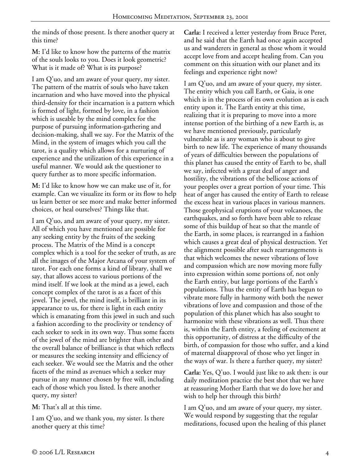the minds of those present. Is there another query at this time?

**M:** I'd like to know how the patterns of the matrix of the souls looks to you. Does it look geometric? What is it made of? What is its purpose?

I am Q'uo, and am aware of your query, my sister. The pattern of the matrix of souls who have taken incarnation and who have moved into the physical third-density for their incarnation is a pattern which is formed of light, formed by love, in a fashion which is useable by the mind complex for the purpose of pursuing information-gathering and decision-making, shall we say. For the Matrix of the Mind, in the system of images which you call the tarot, is a quality which allows for a nurturing of experience and the utilization of this experience in a useful manner. We would ask the questioner to query further as to more specific information.

**M:** I'd like to know how we can make use of it, for example. Can we visualize its form or its flow to help us learn better or see more and make better informed choices, or heal ourselves? Things like that.

I am Q'uo, and am aware of your query, my sister. All of which you have mentioned are possible for any seeking entity by the fruits of the seeking process. The Matrix of the Mind is a concept complex which is a tool for the seeker of truth, as are all the images of the Major Arcana of your system of tarot. For each one forms a kind of library, shall we say, that allows access to various portions of the mind itself. If we look at the mind as a jewel, each concept complex of the tarot is as a facet of this jewel. The jewel, the mind itself, is brilliant in its appearance to us, for there is light in each entity which is emanating from this jewel in such and such a fashion according to the proclivity or tendency of each seeker to seek in its own way. Thus some facets of the jewel of the mind are brighter than other and the overall balance of brilliance is that which reflects or measures the seeking intensity and efficiency of each seeker. We would see the Matrix and the other facets of the mind as avenues which a seeker may pursue in any manner chosen by free will, including each of those which you listed. Is there another query, my sister?

**M:** That's all at this time.

I am Q'uo, and we thank you, my sister. Is there another query at this time?

**Carla:** I received a letter yesterday from Bruce Peret, and he said that the Earth had once again accepted us and wanderers in general as those whom it would accept love from and accept healing from. Can you comment on this situation with our planet and its feelings and experience right now?

I am Q'uo, and am aware of your query, my sister. The entity which you call Earth, or Gaia, is one which is in the process of its own evolution as is each entity upon it. The Earth entity at this time, realizing that it is preparing to move into a more intense portion of the birthing of a new Earth is, as we have mentioned previously, particularly vulnerable as is any woman who is about to give birth to new life. The experience of many thousands of years of difficulties between the populations of this planet has caused the entity of Earth to be, shall we say, infected with a great deal of anger and hostility, the vibrations of the bellicose actions of your peoples over a great portion of your time. This heat of anger has caused the entity of Earth to release the excess heat in various places in various manners. Those geophysical eruptions of your volcanoes, the earthquakes, and so forth have been able to release some of this buildup of heat so that the mantle of the Earth, in some places, is rearranged in a fashion which causes a great deal of physical destruction. Yet the alignment possible after such rearrangements is that which welcomes the newer vibrations of love and compassion which are now moving more fully into expression within some portions of, not only the Earth entity, but large portions of the Earth's populations. Thus the entity of Earth has begun to vibrate more fully in harmony with both the newer vibrations of love and compassion and those of the population of this planet which has also sought to harmonize with these vibrations as well. Thus there is, within the Earth entity, a feeling of excitement at this opportunity, of distress at the difficulty of the birth, of compassion for those who suffer, and a kind of maternal disapproval of those who yet linger in the ways of war. Is there a further query, my sister?

**Carla:** Yes, Q'uo. I would just like to ask then: is our daily meditation practice the best shot that we have at reassuring Mother Earth that we do love her and wish to help her through this birth?

I am Q'uo, and am aware of your query, my sister. We would respond by suggesting that the regular meditations, focused upon the healing of this planet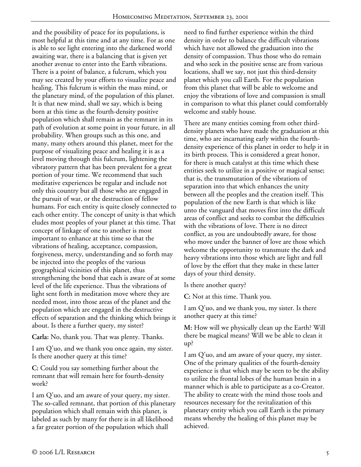and the possibility of peace for its populations, is most helpful at this time and at any time. For as one is able to see light entering into the darkened world awaiting war, there is a balancing that is given yet another avenue to enter into the Earth vibrations. There is a point of balance, a fulcrum, which you may see created by your efforts to visualize peace and healing. This fulcrum is within the mass mind, or the planetary mind, of the population of this planet. It is that new mind, shall we say, which is being born at this time as the fourth-density positive population which shall remain as the remnant in its path of evolution at some point in your future, in all probability. When groups such as this one, and many, many others around this planet, meet for the purpose of visualizing peace and healing it is as a level moving through this fulcrum, lightening the vibratory pattern that has been prevalent for a great portion of your time. We recommend that such meditative experiences be regular and include not only this country but all those who are engaged in the pursuit of war, or the destruction of fellow humans. For each entity is quite closely connected to each other entity. The concept of unity is that which eludes most peoples of your planet at this time. That concept of linkage of one to another is most important to enhance at this time so that the vibrations of healing, acceptance, compassion, forgiveness, mercy, understanding and so forth may be injected into the peoples of the various geographical vicinities of this planet, thus strengthening the bond that each is aware of at some level of the life experience. Thus the vibrations of light sent forth in meditation move where they are needed most, into those areas of the planet and the population which are engaged in the destructive effects of separation and the thinking which brings it about. Is there a further query, my sister?

**Carla:** No, thank you. That was plenty. Thanks.

I am Q'uo, and we thank you once again, my sister. Is there another query at this time?

**C:** Could you say something further about the remnant that will remain here for fourth-density work?

I am Q'uo, and am aware of your query, my sister. The so-called remnant, that portion of this planetary population which shall remain with this planet, is labeled as such by many for there is in all likelihood a far greater portion of the population which shall

need to find further experience within the third density in order to balance the difficult vibrations which have not allowed the graduation into the density of compassion. Thus those who do remain and who seek in the positive sense are from various locations, shall we say, not just this third-density planet which you call Earth. For the population from this planet that will be able to welcome and enjoy the vibrations of love and compassion is small in comparison to what this planet could comfortably welcome and stably house.

There are many entities coming from other thirddensity planets who have made the graduation at this time, who are incarnating early within the fourthdensity experience of this planet in order to help it in its birth process. This is considered a great honor, for there is much catalyst at this time which these entities seek to utilize in a positive or magical sense; that is, the transmutation of the vibrations of separation into that which enhances the unity between all the peoples and the creation itself. This population of the new Earth is that which is like unto the vanguard that moves first into the difficult areas of conflict and seeks to combat the difficulties with the vibrations of love. There is no direct conflict, as you are undoubtedly aware, for those who move under the banner of love are those which welcome the opportunity to transmute the dark and heavy vibrations into those which are light and full of love by the effort that they make in these latter days of your third density.

Is there another query?

**C:** Not at this time. Thank you.

I am Q'uo, and we thank you, my sister. Is there another query at this time?

**M:** How will we physically clean up the Earth? Will there be magical means? Will we be able to clean it up?

I am Q'uo, and am aware of your query, my sister. One of the primary qualities of the fourth-density experience is that which may be seen to be the ability to utilize the frontal lobes of the human brain in a manner which is able to participate as a co-Creator. The ability to create with the mind those tools and resources necessary for the revitalization of this planetary entity which you call Earth is the primary means whereby the healing of this planet may be achieved.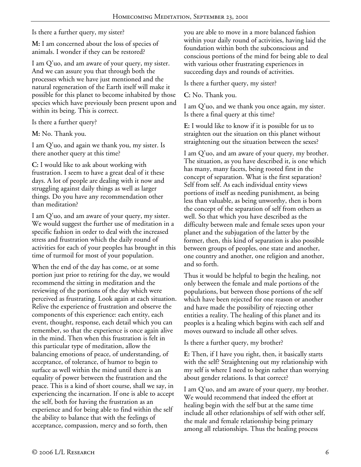Is there a further query, my sister?

**M:** I am concerned about the loss of species of animals. I wonder if they can be restored?

I am Q'uo, and am aware of your query, my sister. And we can assure you that through both the processes which we have just mentioned and the natural regeneration of the Earth itself will make it possible for this planet to become inhabited by those species which have previously been present upon and within its being. This is correct.

Is there a further query?

**M:** No. Thank you.

I am Q'uo, and again we thank you, my sister. Is there another query at this time?

**C:** I would like to ask about working with frustration. I seem to have a great deal of it these days. A lot of people are dealing with it now and struggling against daily things as well as larger things. Do you have any recommendation other than meditation?

I am Q'uo, and am aware of your query, my sister. We would suggest the further use of meditation in a specific fashion in order to deal with the increased stress and frustration which the daily round of activities for each of your peoples has brought in this time of turmoil for most of your population.

When the end of the day has come, or at some portion just prior to retiring for the day, we would recommend the sitting in meditation and the reviewing of the portions of the day which were perceived as frustrating. Look again at each situation. Relive the experience of frustration and observe the components of this experience: each entity, each event, thought, response, each detail which you can remember, so that the experience is once again alive in the mind. Then when this frustration is felt in this particular type of meditation, allow the balancing emotions of peace, of understanding, of acceptance, of tolerance, of humor to begin to surface as well within the mind until there is an equality of power between the frustration and the peace. This is a kind of short course, shall we say, in experiencing the incarnation. If one is able to accept the self, both for having the frustration as an experience and for being able to find within the self the ability to balance that with the feelings of acceptance, compassion, mercy and so forth, then

you are able to move in a more balanced fashion within your daily round of activities, having laid the foundation within both the subconscious and conscious portions of the mind for being able to deal with various other frustrating experiences in succeeding days and rounds of activities.

Is there a further query, my sister?

**C:** No. Thank you.

I am Q'uo, and we thank you once again, my sister. Is there a final query at this time?

**E:** I would like to know if it is possible for us to straighten out the situation on this planet without straightening out the situation between the sexes?

I am Q'uo, and am aware of your query, my brother. The situation, as you have described it, is one which has many, many facets, being rooted first in the concept of separation. What is the first separation? Self from self. As each individual entity views portions of itself as needing punishment, as being less than valuable, as being unworthy, then is born the concept of the separation of self from others as well. So that which you have described as the difficulty between male and female sexes upon your planet and the subjugation of the latter by the former, then, this kind of separation is also possible between groups of peoples, one state and another, one country and another, one religion and another, and so forth.

Thus it would be helpful to begin the healing, not only between the female and male portions of the populations, but between those portions of the self which have been rejected for one reason or another and have made the possibility of rejecting other entities a reality. The healing of this planet and its peoples is a healing which begins with each self and moves outward to include all other selves.

Is there a further query, my brother?

**E:** Then, if I have you right, then, it basically starts with the self? Straightening out my relationship with my self is where I need to begin rather than worrying about gender relations. Is that correct?

I am Q'uo, and am aware of your query, my brother. We would recommend that indeed the effort at healing begin with the self but at the same time include all other relationships of self with other self, the male and female relationship being primary among all relationships. Thus the healing process